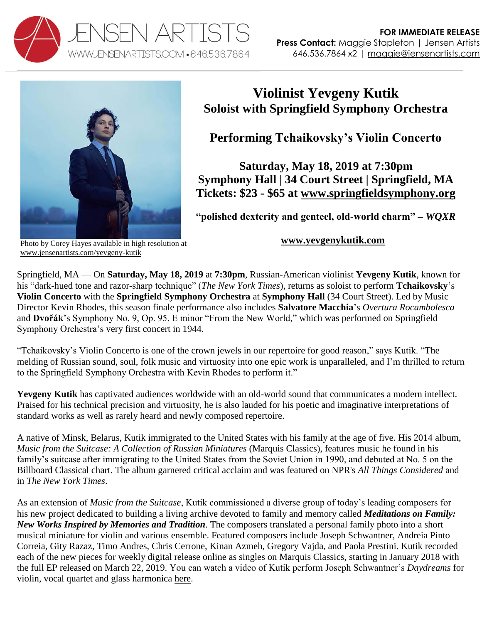



## **Violinist Yevgeny Kutik Soloist with Springfield Symphony Orchestra**

**Performing Tchaikovsky's Violin Concerto**

**Saturday, May 18, 2019 at 7:30pm Symphony Hall | 34 Court Street | Springfield, MA Tickets: \$23 - \$65 at [www.springfieldsymphony.org](https://www.springfieldsymphony.org/event/75th-season-finale-with-new-world-symphony-and-tchaikovsky-violin-concerto/)**

**"polished dexterity and genteel, old-world charm" –** *WQXR*

## Photo by Corey Hayes available in high resolution at [www.jensenartists.com/yevgeny-kutik](http://www.jensenartists.com/yevgeny-kutik)

## **[www.yevgenykutik.com](http://www.yevgenykutik.com/)**

Springfield, MA — On **Saturday, May 18, 2019** at **7:30pm**, Russian-American violinist **Yevgeny Kutik**, known for his "dark-hued tone and razor-sharp technique" (*The New York Times*), returns as soloist to perform **Tchaikovsky**'s **Violin Concerto** with the **Springfield Symphony Orchestra** at **Symphony Hall** (34 Court Street). Led by Music Director Kevin Rhodes, this season finale performance also includes **Salvatore Macchia**'s *Overtura Rocambolesca* and **Dvořák**'s Symphony No. 9, Op. 95, E minor "From the New World," which was performed on Springfield Symphony Orchestra's very first concert in 1944.

"Tchaikovsky's Violin Concerto is one of the crown jewels in our repertoire for good reason," says Kutik. "The melding of Russian sound, soul, folk music and virtuosity into one epic work is unparalleled, and I'm thrilled to return to the Springfield Symphony Orchestra with Kevin Rhodes to perform it."

**Yevgeny Kutik** has captivated audiences worldwide with an old-world sound that communicates a modern intellect. Praised for his technical precision and virtuosity, he is also lauded for his poetic and imaginative interpretations of standard works as well as rarely heard and newly composed repertoire.

A native of Minsk, Belarus, Kutik immigrated to the United States with his family at the age of five. His 2014 album, *Music from the Suitcase: A Collection of Russian Miniatures (Marquis Classics)*, features music he found in his family's suitcase after immigrating to the United States from the Soviet Union in 1990, and debuted at No. 5 on the Billboard Classical chart. The album garnered critical acclaim and was featured on NPR's *All Things Considered* and in *The New York Times*.

As an extension of *Music from the Suitcase*, Kutik commissioned a diverse group of today's leading composers for his new project dedicated to building a living archive devoted to family and memory called *Meditations on Family: New Works Inspired by Memories and Tradition*. The composers translated a personal family photo into a short musical miniature for violin and various ensemble. Featured composers include Joseph Schwantner, Andreia Pinto Correia, Gity Razaz, Timo Andres, Chris Cerrone, Kinan Azmeh, Gregory Vajda, and Paola Prestini. Kutik recorded each of the new pieces for weekly digital release online as singles on Marquis Classics, starting in January 2018 with the full EP released on March 22, 2019. You can watch a video of Kutik perform Joseph Schwantner's *Daydreams* for violin, vocal quartet and glass harmonica [here.](https://www.youtube.com/watch?v=A_MfLKJLeIw)